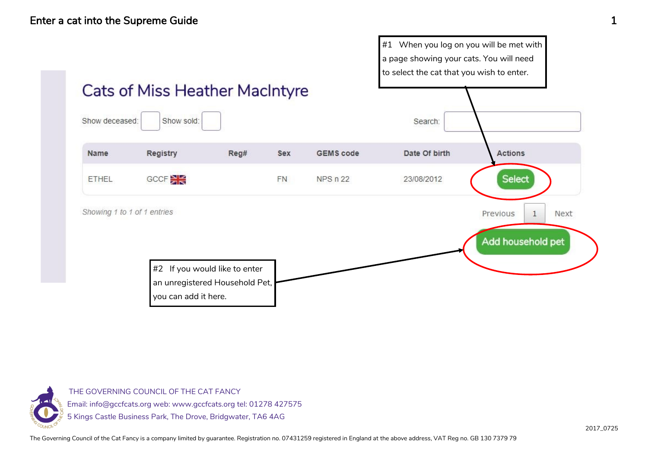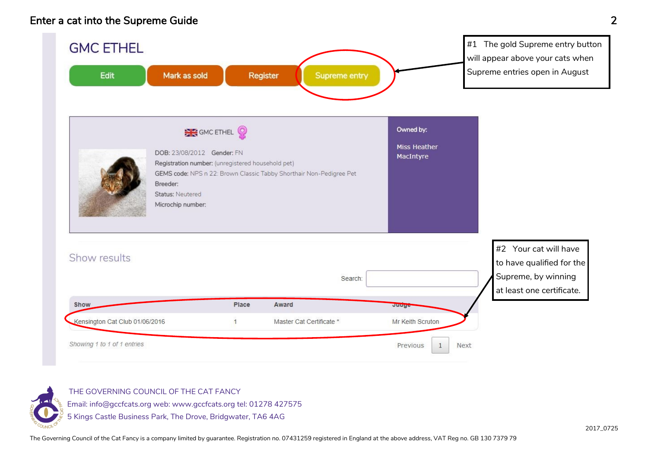### Enter a cat into the Supreme Guide 2



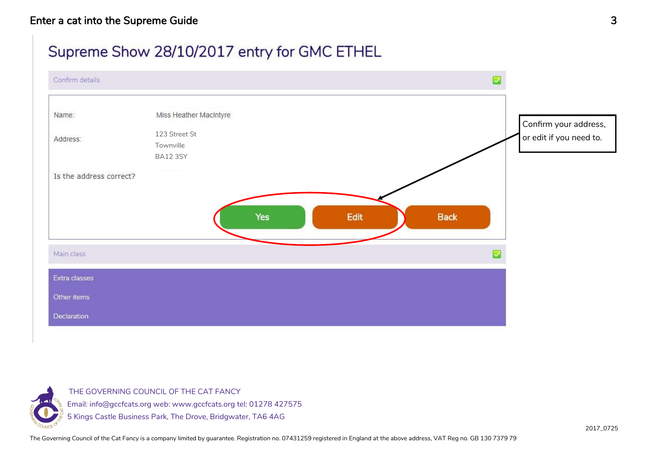#### Enter a cat into the Supreme Guide 3

### Supreme Show 28/10/2017 entry for GMC ETHEL



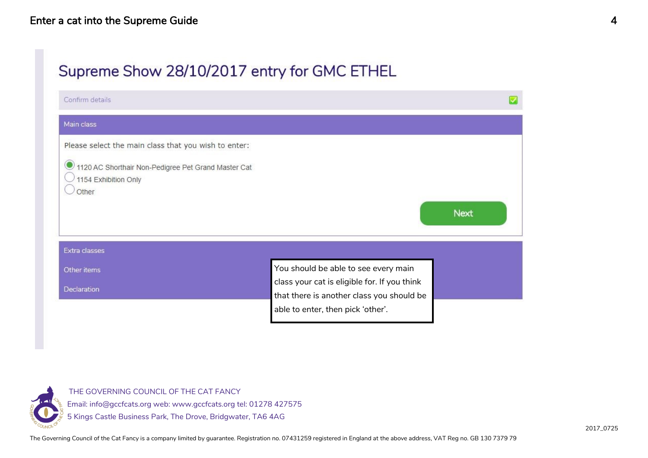# Supreme Show 28/10/2017 entry for GMC ETHEL

| Confirm details                                                                                                                              |                                                                                                                                |             |
|----------------------------------------------------------------------------------------------------------------------------------------------|--------------------------------------------------------------------------------------------------------------------------------|-------------|
| Main class                                                                                                                                   |                                                                                                                                |             |
| Please select the main class that you wish to enter:<br>1120 AC Shorthair Non-Pedigree Pet Grand Master Cat<br>1154 Exhibition Only<br>Other |                                                                                                                                | <b>Next</b> |
| Extra classes                                                                                                                                |                                                                                                                                |             |
| Other items                                                                                                                                  | You should be able to see every main                                                                                           |             |
| Declaration                                                                                                                                  | class your cat is eligible for. If you think<br>that there is another class you should be<br>able to enter, then pick 'other'. |             |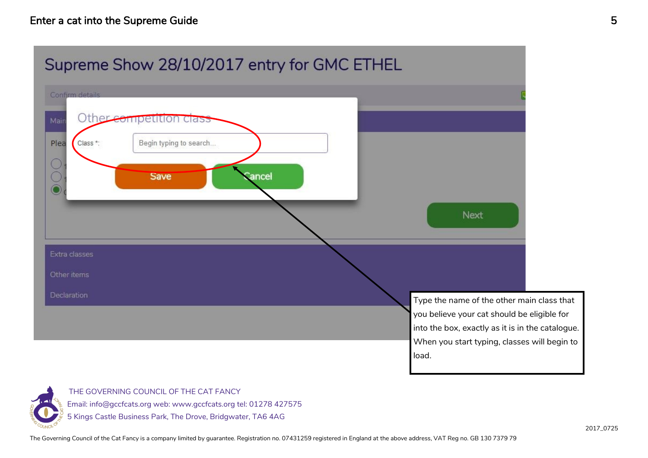

THE GOVERNING COUNCIL OF THE CAT FANCY Email: info@gccfcats.org web: www.gccfcats.org tel: 01278 427575 5 Kings Castle Business Park, The Drove, Bridgwater, TA6 4AG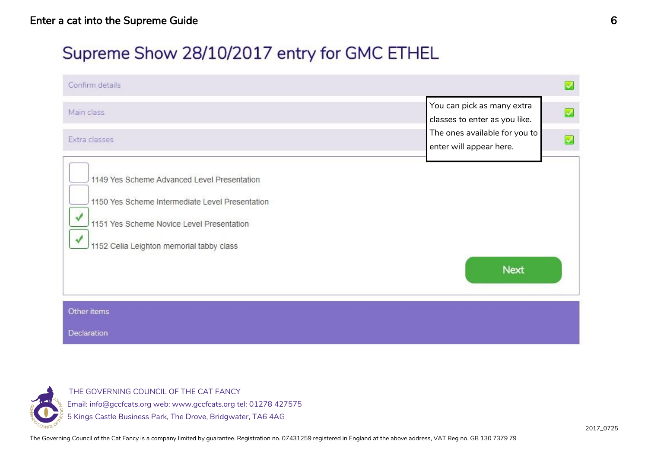# Supreme Show 28/10/2017 entry for GMC ETHEL

| Confirm details                                                                                                                                                                              |                                                                                                                                        |
|----------------------------------------------------------------------------------------------------------------------------------------------------------------------------------------------|----------------------------------------------------------------------------------------------------------------------------------------|
| Main class<br>Extra classes                                                                                                                                                                  | You can pick as many extra<br>Z<br>classes to enter as you like.<br>The ones available for you to<br>$\sim$<br>enter will appear here. |
| 1149 Yes Scheme Advanced Level Presentation<br>1150 Yes Scheme Intermediate Level Presentation<br>1151 Yes Scheme Novice Level Presentation<br>✔<br>1152 Celia Leighton memorial tabby class | <b>Next</b>                                                                                                                            |
| Other items                                                                                                                                                                                  |                                                                                                                                        |
| Declaration                                                                                                                                                                                  |                                                                                                                                        |